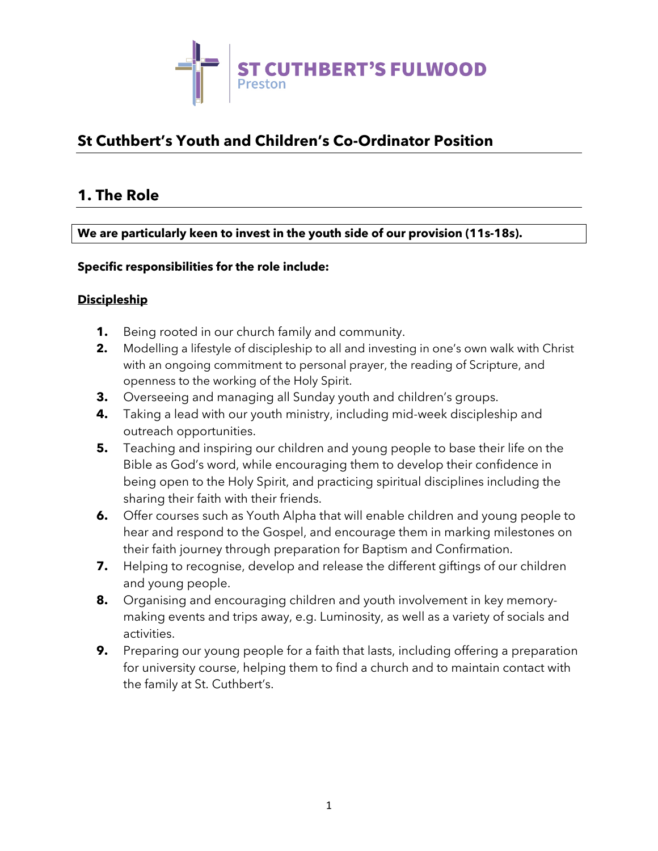

# **St Cuthbert's Youth and Children's Co-Ordinator Position**

## **1. The Role**

**We are particularly keen to invest in the youth side of our provision (11s-18s).** 

#### **Specific responsibilities for the role include:**

#### **Discipleship**

- **1.** Being rooted in our church family and community.
- **2.** Modelling a lifestyle of discipleship to all and investing in one's own walk with Christ with an ongoing commitment to personal prayer, the reading of Scripture, and openness to the working of the Holy Spirit.
- **3.** Overseeing and managing all Sunday youth and children's groups.
- **4.** Taking a lead with our youth ministry, including mid-week discipleship and outreach opportunities.
- **5.** Teaching and inspiring our children and young people to base their life on the Bible as God's word, while encouraging them to develop their confidence in being open to the Holy Spirit, and practicing spiritual disciplines including the sharing their faith with their friends.
- **6.** Offer courses such as Youth Alpha that will enable children and young people to hear and respond to the Gospel, and encourage them in marking milestones on their faith journey through preparation for Baptism and Confirmation.
- **7.** Helping to recognise, develop and release the different giftings of our children and young people.
- **8.** Organising and encouraging children and youth involvement in key memorymaking events and trips away, e.g. Luminosity, as well as a variety of socials and activities.
- **9.** Preparing our young people for a faith that lasts, including offering a preparation for university course, helping them to find a church and to maintain contact with the family at St. Cuthbert's.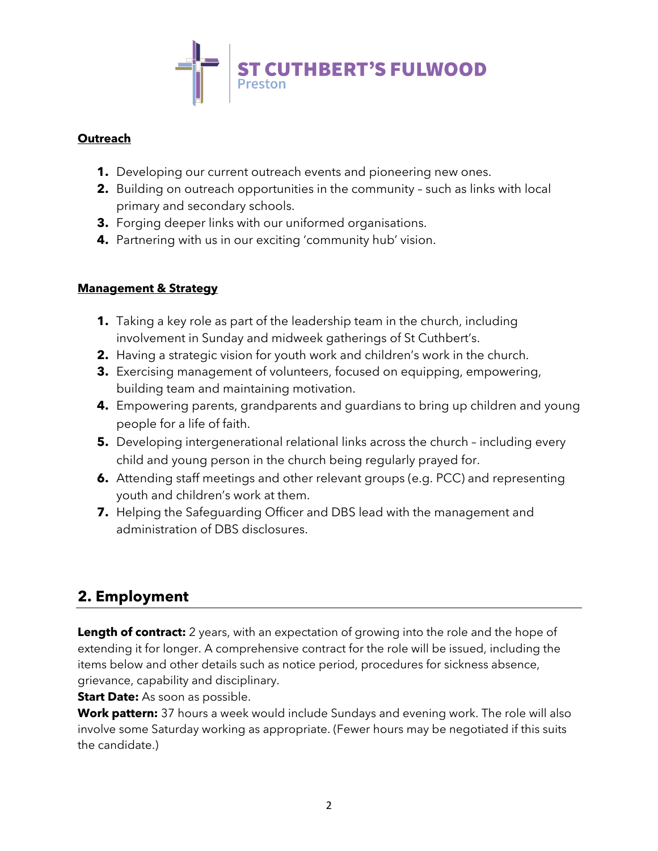

### **Outreach**

- **1.** Developing our current outreach events and pioneering new ones.
- **2.** Building on outreach opportunities in the community such as links with local primary and secondary schools.
- **3.** Forging deeper links with our uniformed organisations.
- **4.** Partnering with us in our exciting 'community hub' vision.

### **Management & Strategy**

- **1.** Taking a key role as part of the leadership team in the church, including involvement in Sunday and midweek gatherings of St Cuthbert's.
- **2.** Having a strategic vision for youth work and children's work in the church.
- **3.** Exercising management of volunteers, focused on equipping, empowering, building team and maintaining motivation.
- **4.** Empowering parents, grandparents and guardians to bring up children and young people for a life of faith.
- **5.** Developing intergenerational relational links across the church including every child and young person in the church being regularly prayed for.
- **6.** Attending staff meetings and other relevant groups (e.g. PCC) and representing youth and children's work at them.
- **7.** Helping the Safeguarding Officer and DBS lead with the management and administration of DBS disclosures.

# **2. Employment**

**Length of contract:** 2 years, with an expectation of growing into the role and the hope of extending it for longer. A comprehensive contract for the role will be issued, including the items below and other details such as notice period, procedures for sickness absence, grievance, capability and disciplinary.

**Start Date:** As soon as possible.

**Work pattern:** 37 hours a week would include Sundays and evening work. The role will also involve some Saturday working as appropriate. (Fewer hours may be negotiated if this suits the candidate.)